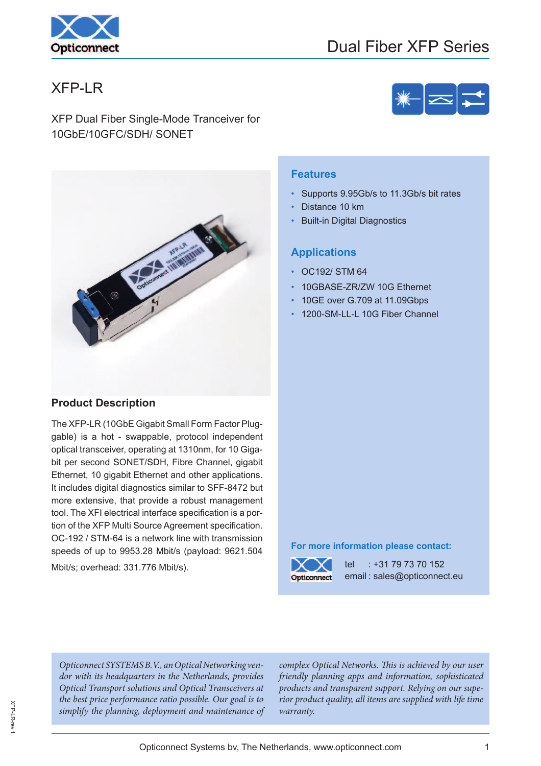

# XFP-LR

XFP Dual Fiber Single-Mode Tranceiver for 10GbE/10GFC/SDH/ SONET



# **Product Description**

The XFP-LR (10GbE Gigabit Small Form Factor Pluggable) is a hot - swappable, protocol independent optical transceiver, operating at 1310nm, for 10 Gigabit per second SONET/SDH, Fibre Channel, gigabit Ethernet, 10 gigabit Ethernet and other applications. It includes digital diagnostics similar to SFF-8472 but more extensive, that provide a robust management tool. The XFI electrical interface specification is a portion of the XFP Multi Source Agreement specification. OC-192 / STM-64 is a network line with transmission speeds of up to 9953.28 Mbit/s (payload: 9621.504 Mbit/s; overhead: 331.776 Mbit/s).

#### **Features**

- Supports 9.95Gb/s to 11.3Gb/s bit rates
- Distance 10 km
- **Built-in Digital Diagnostics**

#### **Applications**

- OC192/ STM 64
- 10GBASE-ZR/ZW 10G Ethernet
- 10GE over G.709 at 11.09Gbps
- 1200-SM-LL-L 10G Fiber Channel

#### **For more information please contact:**



tel : +31 79 73 70 152 email : sales@opticonnect.eu

Opticonnect SYSTEMS B.V., an Optical Networking vendor with its headquarters in the Netherlands, provides Optical Transport solutions and Optical Transceivers at the best price performance ratio possible. Our goal is to simplify the planning, deployment and maintenance of

complex Optical Networks. This is achieved by our user friendly planning apps and information, sophisticated products and transparent support. Relying on our superior product quality, all items are supplied with life time warranty.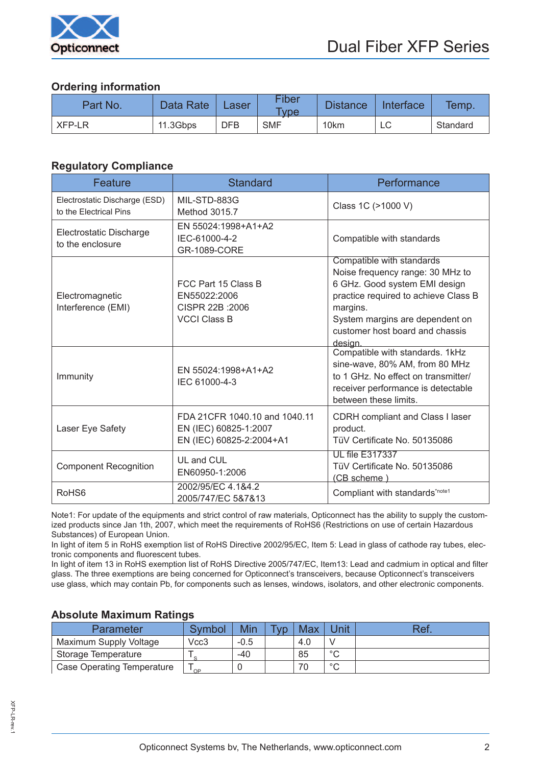

# **Ordering information**

| Part No. | Data Rate <sup>®</sup> | Laser      | <b>Fiber</b><br><b>Type</b> | <b>Distance</b> | Interface | Temp.    |
|----------|------------------------|------------|-----------------------------|-----------------|-----------|----------|
| XFP-LR   | 11.3Gbps               | <b>DFB</b> | <b>SMF</b>                  | 10km            | └         | Standard |

# **Regulatory Compliance**

| Feature                                                 | <b>Standard</b>                                                                    | Performance                                                                                                                                                                                                                         |
|---------------------------------------------------------|------------------------------------------------------------------------------------|-------------------------------------------------------------------------------------------------------------------------------------------------------------------------------------------------------------------------------------|
| Electrostatic Discharge (ESD)<br>to the Electrical Pins | MIL-STD-883G<br>Method 3015.7                                                      | Class 1C (>1000 V)                                                                                                                                                                                                                  |
| Electrostatic Discharge<br>to the enclosure             | EN 55024:1998+A1+A2<br>IEC-61000-4-2<br>GR-1089-CORE                               | Compatible with standards                                                                                                                                                                                                           |
| Electromagnetic<br>Interference (EMI)                   | FCC Part 15 Class B<br>EN55022:2006<br>CISPR 22B : 2006<br><b>VCCI Class B</b>     | Compatible with standards<br>Noise frequency range: 30 MHz to<br>6 GHz. Good system EMI design<br>practice required to achieve Class B<br>margins.<br>System margins are dependent on<br>customer host board and chassis<br>design. |
| Immunity                                                | EN 55024:1998+A1+A2<br>IEC 61000-4-3                                               | Compatible with standards. 1kHz<br>sine-wave, 80% AM, from 80 MHz<br>to 1 GHz. No effect on transmitter/<br>receiver performance is detectable<br>between these limits.                                                             |
| Laser Eye Safety                                        | FDA 21CFR 1040.10 and 1040.11<br>EN (IEC) 60825-1:2007<br>EN (IEC) 60825-2:2004+A1 | CDRH compliant and Class I laser<br>product.<br>TüV Certificate No. 50135086                                                                                                                                                        |
| <b>Component Recognition</b>                            | UL and CUL<br>EN60950-1:2006                                                       | <b>UL file E317337</b><br>TüV Certificate No. 50135086<br>(CB scheme)                                                                                                                                                               |
| RoHS <sub>6</sub>                                       | 2002/95/EC 4.1&4.2<br>2005/747/EC 5&7&13                                           | Compliant with standards*note1                                                                                                                                                                                                      |

Note1: For update of the equipments and strict control of raw materials, Opticonnect has the ability to supply the customized products since Jan 1th, 2007, which meet the requirements of RoHS6 (Restrictions on use of certain Hazardous Substances) of European Union.

In light of item 5 in RoHS exemption list of RoHS Directive 2002/95/EC, Item 5: Lead in glass of cathode ray tubes, electronic components and fluorescent tubes.

In light of item 13 in RoHS exemption list of RoHS Directive 2005/747/EC, Item13: Lead and cadmium in optical and filter glass. The three exemptions are being concerned for Opticonnect's transceivers, because Opticonnect's transceivers use glass, which may contain Pb, for components such as lenses, windows, isolators, and other electronic components.

### **Absolute Maximum Ratings**

| Parameter                         | Symbol | Min    | <b>Tyn</b> | <b>Max</b> | Jnit    | Ref. |
|-----------------------------------|--------|--------|------------|------------|---------|------|
| Maximum Supply Voltage            | Vcc3   | $-0.5$ |            | 4.0        |         |      |
| Storage Temperature               | $\sim$ | -40    |            | 85         | $\circ$ |      |
| <b>Case Operating Temperature</b> | $\cap$ |        |            | 70         | $\circ$ |      |